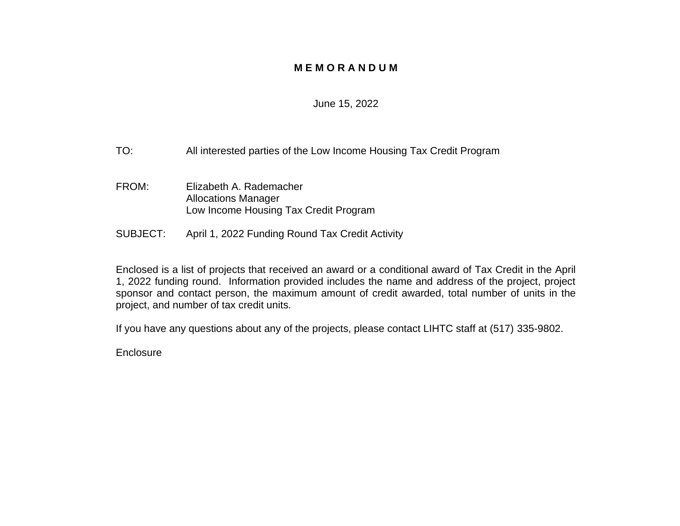### **M E M O R A N D U M**

#### June 15, 2022

- TO: All interested parties of the Low Income Housing Tax Credit Program
- FROM: Elizabeth A. Rademacher Allocations Manager Low Income Housing Tax Credit Program
- SUBJECT: April 1, 2022 Funding Round Tax Credit Activity

Enclosed is a list of projects that received an award or a conditional award of Tax Credit in the April 1, 2022 funding round. Information provided includes the name and address of the project, project sponsor and contact person, the maximum amount of credit awarded, total number of units in the project, and number of tax credit units.

If you have any questions about any of the projects, please contact LIHTC staff at (517) 335-9802.

**Enclosure**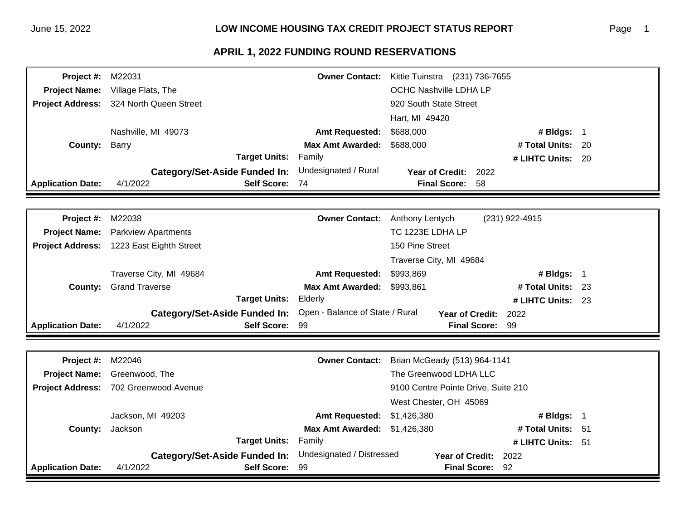#### Page 1

| <b>Project #: M22031</b> |                                                | <b>Owner Contact:</b>   | Kittie Tuinstra (231) 736-7655 |                   |  |
|--------------------------|------------------------------------------------|-------------------------|--------------------------------|-------------------|--|
|                          | <b>Project Name:</b> Village Flats, The        |                         | OCHC Nashville LDHA LP         |                   |  |
|                          | <b>Project Address:</b> 324 North Queen Street |                         | 920 South State Street         |                   |  |
|                          |                                                |                         | Hart, MI 49420                 |                   |  |
|                          | Nashville, MI 49073                            | <b>Amt Requested:</b>   | \$688,000                      | # Bldgs: $1$      |  |
| <b>County: Barry</b>     |                                                | <b>Max Amt Awarded:</b> | \$688,000                      | # Total Units: 20 |  |
|                          | <b>Target Units:</b>                           | Family                  |                                | # LIHTC Units: 20 |  |
|                          | <b>Category/Set-Aside Funded In:</b>           | Undesignated / Rural    | Year of Credit: 2022           |                   |  |
| <b>Application Date:</b> | 4/1/2022<br>Self Score: 74                     |                         | <b>Final Score: 58</b>         |                   |  |
|                          |                                                |                         |                                |                   |  |
| Project #:               | M22038                                         | <b>Owner Contact:</b>   | Anthony Lentych                | (231) 922-4915    |  |
|                          | <b>Project Name:</b> Parkview Apartments       |                         | TC 1223E LDHA LP               |                   |  |
|                          | Project Address: 1223 East Eighth Street       |                         | 150 Pine Street                |                   |  |
|                          |                                                |                         | Traverse City, MI 49684        |                   |  |
|                          | $Travarea City$ MI $AQBA$                      | Amt Ponugetod:          |                                | $#$ Ridge: 1      |  |

|                          | Traverse City, MI 49684       |                              | <b>Amt Requested: \$993,869</b>                               |                        | # Bldgs: 1        |  |
|--------------------------|-------------------------------|------------------------------|---------------------------------------------------------------|------------------------|-------------------|--|
|                          | <b>County: Grand Traverse</b> |                              | Max Amt Awarded: \$993,861                                    |                        | # Total Units: 23 |  |
|                          |                               | <b>Target Units: Elderly</b> |                                                               |                        | # LIHTC Units: 23 |  |
|                          |                               |                              | Category/Set-Aside Funded In: Open - Balance of State / Rural | Year of Credit: 2022   |                   |  |
| <b>Application Date:</b> | 4/1/2022                      | <b>Self Score: 99</b>        |                                                               | <b>Final Score: 99</b> |                   |  |

| <b>Project #: M22046</b> |                                       | <b>Owner Contact:</b>               | Brian McGeady (513) 964-1141        |                        |  |
|--------------------------|---------------------------------------|-------------------------------------|-------------------------------------|------------------------|--|
|                          | <b>Project Name:</b> Greenwood, The   |                                     | The Greenwood LDHA LLC              |                        |  |
|                          | Project Address: 702 Greenwood Avenue |                                     | 9100 Centre Pointe Drive, Suite 210 |                        |  |
|                          |                                       |                                     | West Chester, OH 45069              |                        |  |
|                          | Jackson, MI 49203                     | <b>Amt Requested: \$1,426,380</b>   |                                     | # Bldgs: $\frac{4}{1}$ |  |
|                          | <b>County:</b> Jackson                | <b>Max Amt Awarded: \$1,426,380</b> |                                     | # Total Units: 51      |  |
|                          | <b>Target Units:</b>                  | Family                              |                                     | # LIHTC Units: 51      |  |
|                          | Category/Set-Aside Funded In:         | Undesignated / Distressed           | Year of Credit: 2022                |                        |  |
| <b>Application Date:</b> | Self Score: 99<br>4/1/2022            |                                     | <b>Final Score: 92</b>              |                        |  |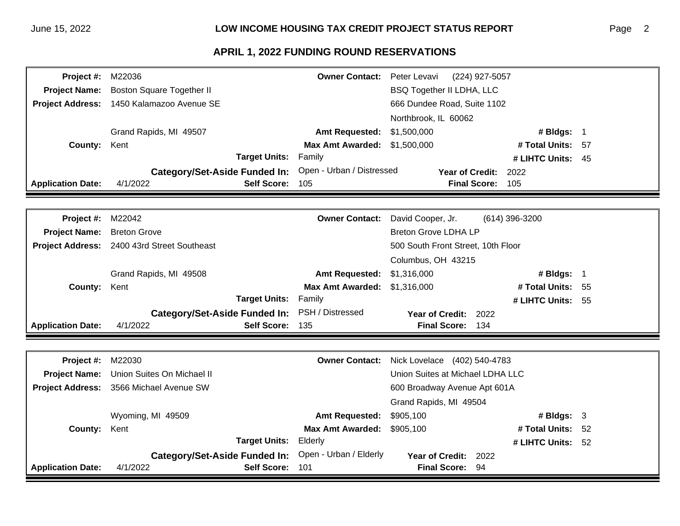#### Page 2

| Project #:               | M22036                                      | <b>Owner Contact:</b>     | Peter Levavi<br>(224) 927-5057     |                     |  |
|--------------------------|---------------------------------------------|---------------------------|------------------------------------|---------------------|--|
| <b>Project Name:</b>     | <b>Boston Square Together II</b>            |                           | <b>BSQ Together II LDHA, LLC</b>   |                     |  |
|                          | Project Address: 1450 Kalamazoo Avenue SE   |                           | 666 Dundee Road, Suite 1102        |                     |  |
|                          |                                             |                           | Northbrook, IL 60062               |                     |  |
|                          | Grand Rapids, MI 49507                      | <b>Amt Requested:</b>     | \$1,500,000                        | # Bldgs: $1$        |  |
| <b>County:</b>           | Kent                                        | <b>Max Amt Awarded:</b>   | \$1,500,000                        | # Total Units: 57   |  |
|                          | <b>Target Units:</b>                        | Family                    |                                    | # LIHTC Units: $45$ |  |
|                          | <b>Category/Set-Aside Funded In:</b>        | Open - Urban / Distressed | Year of Credit:                    | 2022                |  |
| <b>Application Date:</b> | <b>Self Score:</b><br>4/1/2022              | 105                       | <b>Final Score:</b>                | 105                 |  |
|                          |                                             |                           |                                    |                     |  |
|                          |                                             |                           |                                    |                     |  |
| Project #:               | M22042                                      | <b>Owner Contact:</b>     | David Cooper, Jr.                  | $(614)$ 396-3200    |  |
| <b>Project Name:</b>     | <b>Breton Grove</b>                         |                           | <b>Breton Grove LDHA LP</b>        |                     |  |
|                          | Project Address: 2400 43rd Street Southeast |                           | 500 South Front Street, 10th Floor |                     |  |
|                          |                                             |                           | Columbus, OH 43215                 |                     |  |

|                            |          | Grand Rapids, MI 49500                         | AIIII Requested: 01,010,000         |                         | # DIUYS.          |  |
|----------------------------|----------|------------------------------------------------|-------------------------------------|-------------------------|-------------------|--|
| <b>County: Kent</b>        |          |                                                | <b>Max Amt Awarded: \$1,316,000</b> |                         | # Total Units: 55 |  |
|                            |          | <b>Target Units: Family</b>                    |                                     |                         | # LIHTC Units: 55 |  |
|                            |          | Category/Set-Aside Funded In: PSH / Distressed |                                     | Year of Credit: 2022    |                   |  |
| <b>Application Date:</b> 4 | 4/1/2022 | <b>Self Score: 135</b>                         |                                     | <b>Final Score: 134</b> |                   |  |

| <b>Project #: M22030</b> |                                                      |                            | <b>Owner Contact:</b> Nick Lovelace (402) 540-4783 |  |  |
|--------------------------|------------------------------------------------------|----------------------------|----------------------------------------------------|--|--|
|                          | <b>Project Name:</b> Union Suites On Michael II      |                            | Union Suites at Michael LDHA LLC                   |  |  |
|                          | Project Address: 3566 Michael Avenue SW              |                            | 600 Broadway Avenue Apt 601A                       |  |  |
|                          |                                                      |                            | Grand Rapids, MI 49504                             |  |  |
|                          | Wyoming, MI 49509                                    | Amt Requested: \$905,100   | # Bldgs: $3$                                       |  |  |
| <b>County: Kent</b>      |                                                      | Max Amt Awarded: \$905,100 | # Total Units: 52                                  |  |  |
|                          | <b>Target Units: Elderly</b>                         |                            | # LIHTC Units: $52$                                |  |  |
|                          | Category/Set-Aside Funded In: Open - Urban / Elderly |                            | Year of Credit: 2022                               |  |  |
| <b>Application Date:</b> | 4/1/2022<br>Self Score: 101                          |                            | Final Score: 94                                    |  |  |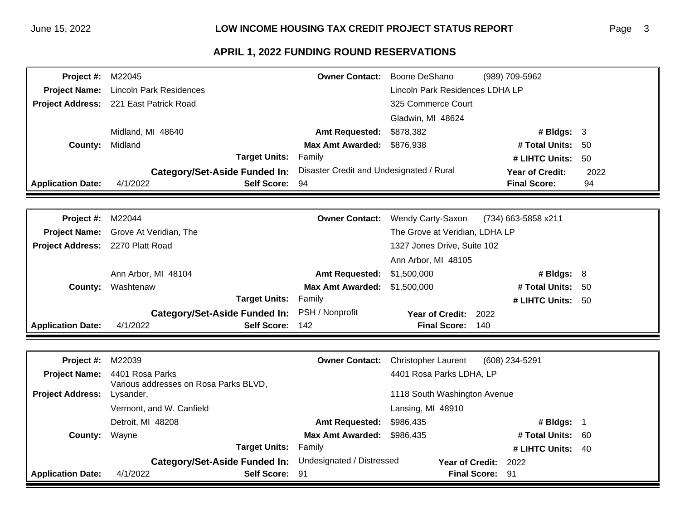| <b>Project #: M22045</b> |                                              |                                          | <b>Owner Contact:</b> Boone DeShano | (989) 709-5962         |      |
|--------------------------|----------------------------------------------|------------------------------------------|-------------------------------------|------------------------|------|
|                          | <b>Project Name:</b> Lincoln Park Residences |                                          | Lincoln Park Residences LDHA LP     |                        |      |
|                          | Project Address: 221 East Patrick Road       |                                          | 325 Commerce Court                  |                        |      |
|                          |                                              |                                          | Gladwin, MI 48624                   |                        |      |
|                          | Midland, MI 48640                            | <b>Amt Requested:</b>                    | \$878,382                           | # Bldgs: $3$           |      |
| County:                  | Midland                                      | <b>Max Amt Awarded:</b>                  | \$876,938                           | # Total Units:         | -50  |
|                          | Target Units:                                | Family                                   |                                     | # LIHTC Units:         | -50  |
|                          | <b>Category/Set-Aside Funded In:</b>         | Disaster Credit and Undesignated / Rural |                                     | <b>Year of Credit:</b> | 2022 |
| <b>Application Date:</b> | Self Score: 94<br>4/1/2022                   |                                          |                                     | <b>Final Score:</b>    | 94   |
|                          |                                              |                                          |                                     |                        |      |

| <b>Project #: M22044</b>                |                                               |                                     | <b>Owner Contact:</b> Wendy Carty-Saxon<br>(734) 663-5858 x211 |
|-----------------------------------------|-----------------------------------------------|-------------------------------------|----------------------------------------------------------------|
|                                         | <b>Project Name:</b> Grove At Veridian, The   |                                     | The Grove at Veridian, LDHA LP                                 |
| <b>Project Address: 2270 Platt Road</b> |                                               |                                     | 1327 Jones Drive, Suite 102                                    |
|                                         |                                               |                                     | Ann Arbor, MI 48105                                            |
|                                         | Ann Arbor, MI 48104                           | <b>Amt Requested: \$1,500,000</b>   | # Bldgs: $8$                                                   |
| County:                                 | Washtenaw                                     | <b>Max Amt Awarded: \$1,500,000</b> | # Total Units: 50                                              |
|                                         | <b>Target Units: Family</b>                   |                                     | # LIHTC Units: $50$                                            |
|                                         | Category/Set-Aside Funded In: PSH / Nonprofit |                                     | Year of Credit: 2022                                           |
| <b>Application Date:</b>                | Self Score: 142<br>4/1/2022                   |                                     | <b>Final Score:</b><br>140                                     |

| <b>Project #: M22039</b> |                                                    |                                   | <b>Owner Contact:</b> Christopher Laurent<br>(608) 234-5291 |
|--------------------------|----------------------------------------------------|-----------------------------------|-------------------------------------------------------------|
|                          | Project Name: 4401 Rosa Parks                      |                                   | 4401 Rosa Parks LDHA, LP                                    |
| <b>Project Address:</b>  | Various addresses on Rosa Parks BLVD,<br>Lysander, |                                   | 1118 South Washington Avenue                                |
|                          | Vermont, and W. Canfield                           |                                   | Lansing, MI 48910                                           |
|                          | Detroit, MI 48208                                  | <b>Amt Requested: \$986,435</b>   | # Bldgs:                                                    |
| <b>County:</b> Wayne     |                                                    | <b>Max Amt Awarded: \$986,435</b> | # Total Units: 60                                           |
|                          | <b>Target Units:</b>                               | Family                            | # LIHTC Units: $40$                                         |
|                          | Category/Set-Aside Funded In:                      | Undesignated / Distressed         | Year of Credit: 2022                                        |
| <b>Application Date:</b> | 4/1/2022<br>Self Score: 91                         |                                   | <b>Final Score:</b><br>-91                                  |